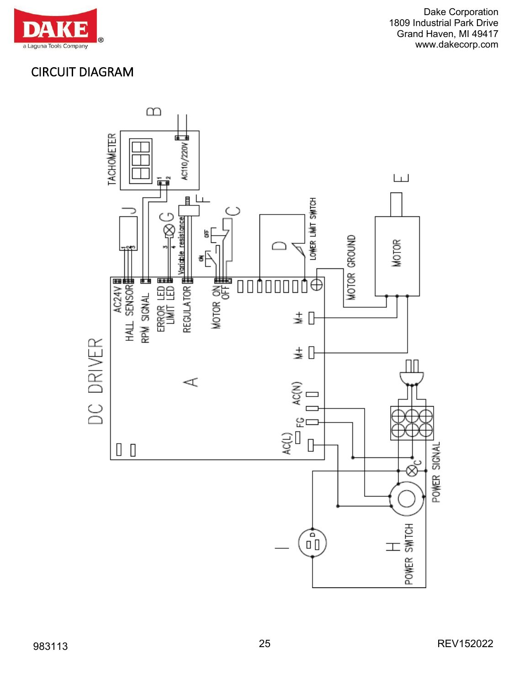

## CIRCUIT DIAGRAM

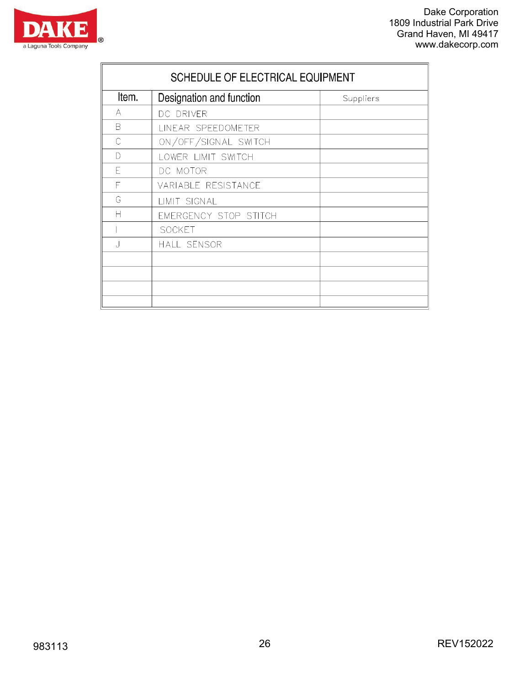

|         | SCHEDULE OF ELECTRICAL EQUIPMENT |           |  |  |  |  |  |
|---------|----------------------------------|-----------|--|--|--|--|--|
| ltem.   | Designation and function         | Suppliers |  |  |  |  |  |
| A       | DC DRIVER                        |           |  |  |  |  |  |
| B       | LINEAR SPEEDOMETER               |           |  |  |  |  |  |
| C       | ON/OFF/SIGNAL SWITCH             |           |  |  |  |  |  |
| D       | LOWER LIMIT SWITCH               |           |  |  |  |  |  |
| F       | DC MOTOR                         |           |  |  |  |  |  |
| F       | VARIABLE RESISTANCE              |           |  |  |  |  |  |
| G       | LIMIT SIGNAL                     |           |  |  |  |  |  |
| Н       | EMERGENCY STOP STITCH            |           |  |  |  |  |  |
|         | <b>SOCKET</b>                    |           |  |  |  |  |  |
| $\cdot$ | <b>HALL SENSOR</b>               |           |  |  |  |  |  |
|         |                                  |           |  |  |  |  |  |
|         |                                  |           |  |  |  |  |  |
|         |                                  |           |  |  |  |  |  |
|         |                                  |           |  |  |  |  |  |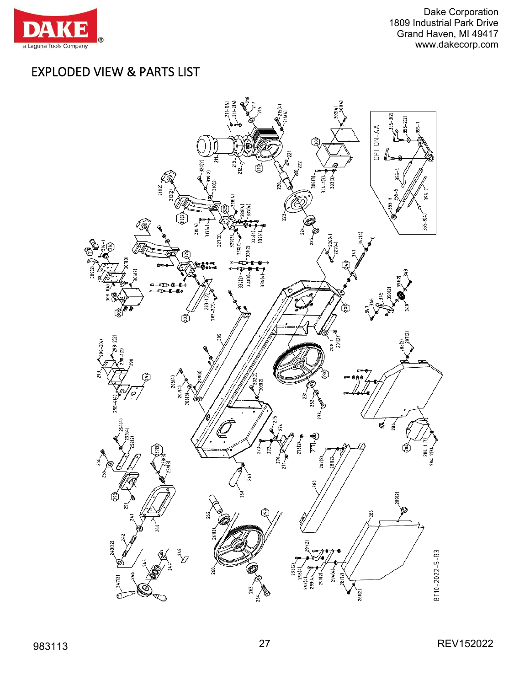

## EXPLODED VIEW & PARTS LIST

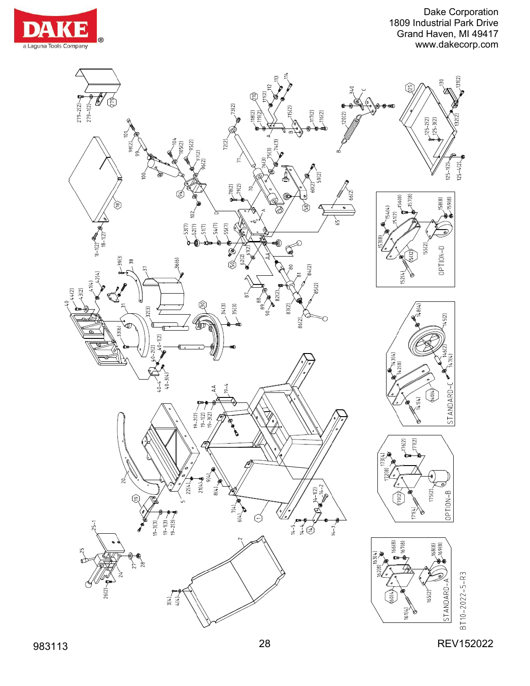



983113 28 REV152022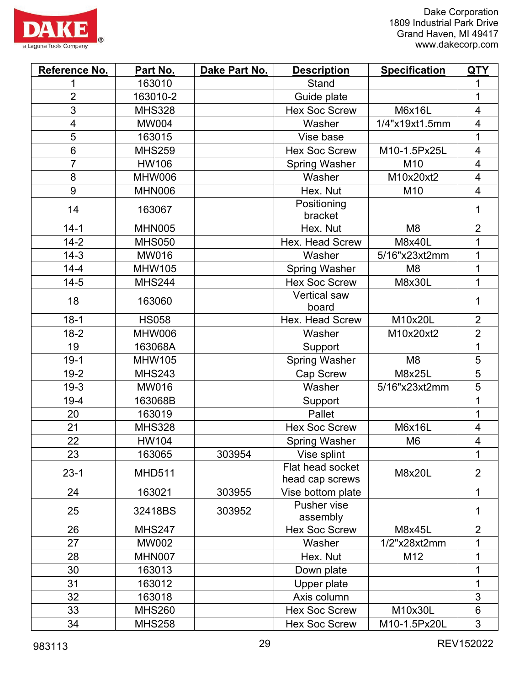

| Reference No.           | Part No.      | Dake Part No. | <b>Description</b>                  | <b>Specification</b> | <u>QTY</u>               |
|-------------------------|---------------|---------------|-------------------------------------|----------------------|--------------------------|
| 1                       | 163010        |               | <b>Stand</b>                        |                      | 1                        |
| $\overline{2}$          | 163010-2      |               | Guide plate                         |                      | 1                        |
| 3                       | <b>MHS328</b> |               | <b>Hex Soc Screw</b>                | <b>M6x16L</b>        | $\overline{\mathcal{A}}$ |
| $\overline{\mathbf{4}}$ | <b>MW004</b>  |               | Washer                              | 1/4"x19xt1.5mm       | 4                        |
| 5                       | 163015        |               | Vise base                           |                      | 1                        |
| 6                       | <b>MHS259</b> |               | <b>Hex Soc Screw</b>                | M10-1.5Px25L         | $\overline{\mathcal{A}}$ |
| $\overline{7}$          | <b>HW106</b>  |               | <b>Spring Washer</b>                | M10                  | $\overline{\mathbf{4}}$  |
| 8                       | <b>MHW006</b> |               | Washer                              | M10x20xt2            | $\overline{\mathbf{4}}$  |
| 9                       | <b>MHN006</b> |               | Hex. Nut                            | M10                  | $\overline{\mathcal{A}}$ |
| 14                      | 163067        |               | Positioning<br>bracket              |                      | 1                        |
| $14-1$                  | <b>MHN005</b> |               | Hex. Nut                            | M <sub>8</sub>       | $\overline{2}$           |
| $14 - 2$                | <b>MHS050</b> |               | Hex. Head Screw                     | <b>M8x40L</b>        | 1                        |
| $14-3$                  | <b>MW016</b>  |               | Washer                              | 5/16"x23xt2mm        | 1                        |
| $14 - 4$                | <b>MHW105</b> |               | <b>Spring Washer</b>                | M <sub>8</sub>       | 1                        |
| $14 - 5$                | <b>MHS244</b> |               | <b>Hex Soc Screw</b>                | M8x30L               | 1                        |
| 18                      | 163060        |               | <b>Vertical saw</b><br>board        |                      | 1                        |
| $18-1$                  | <b>HS058</b>  |               | Hex. Head Screw                     | M10x20L              | $\overline{2}$           |
| $18-2$                  | <b>MHW006</b> |               | Washer                              | M10x20xt2            | $\overline{2}$           |
| 19                      | 163068A       |               | Support                             |                      | 1                        |
| $19-1$                  | <b>MHW105</b> |               | <b>Spring Washer</b>                | M <sub>8</sub>       | 5                        |
| $19-2$                  | <b>MHS243</b> |               | <b>Cap Screw</b>                    | M8x25L               | $\overline{5}$           |
| $19-3$                  | <b>MW016</b>  |               | Washer                              | 5/16"x23xt2mm        | 5                        |
| $19-4$                  | 163068B       |               | Support                             |                      | 1                        |
| 20                      | 163019        |               | Pallet                              |                      | 1                        |
| 21                      | <b>MHS328</b> |               | <b>Hex Soc Screw</b>                | <b>M6x16L</b>        | $\overline{\mathcal{A}}$ |
| 22                      | <b>HW104</b>  |               | <b>Spring Washer</b>                | M <sub>6</sub>       | 4                        |
| 23                      | 163065        | 303954        | Vise splint                         |                      | 1                        |
| $23-1$                  | <b>MHD511</b> |               | Flat head socket<br>head cap screws | M8x20L               | $\overline{2}$           |
| 24                      | 163021        | 303955        | Vise bottom plate                   |                      | 1                        |
| 25                      | 32418BS       | 303952        | Pusher vise<br>assembly             |                      | 1                        |
| 26                      | <b>MHS247</b> |               | <b>Hex Soc Screw</b>                | M8x45L               | $\overline{2}$           |
| 27                      | <b>MW002</b>  |               | Washer                              | 1/2"x28xt2mm         | 1                        |
| 28                      | <b>MHN007</b> |               | Hex. Nut                            | M12                  | 1                        |
| 30                      | 163013        |               | Down plate                          |                      | 1                        |
| 31                      | 163012        |               | Upper plate                         |                      | 1                        |
| 32                      | 163018        |               | Axis column                         |                      | 3                        |
| 33                      | <b>MHS260</b> |               | <b>Hex Soc Screw</b>                | M10x30L              | $6\phantom{1}$           |
| 34                      | <b>MHS258</b> |               | <b>Hex Soc Screw</b>                | M10-1.5Px20L         | 3                        |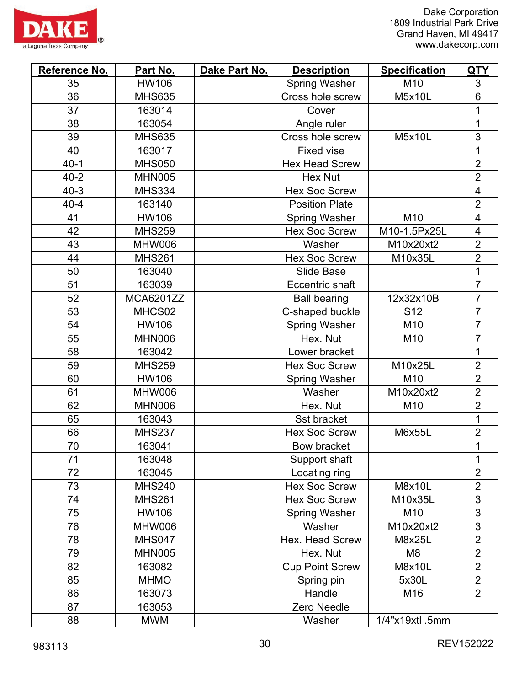

| Reference No. | Part No.         | Dake Part No. | <b>Description</b>     | <b>Specification</b> | <b>QTY</b>               |
|---------------|------------------|---------------|------------------------|----------------------|--------------------------|
| 35            | <b>HW106</b>     |               | <b>Spring Washer</b>   | M10                  | 3                        |
| 36            | <b>MHS635</b>    |               | Cross hole screw       | M5x10L               | 6                        |
| 37            | 163014           |               | Cover                  |                      | 1                        |
| 38            | 163054           |               | Angle ruler            |                      | 1                        |
| 39            | <b>MHS635</b>    |               | Cross hole screw       | M5x10L               | 3                        |
| 40            | 163017           |               | <b>Fixed vise</b>      |                      |                          |
| $40 - 1$      | <b>MHS050</b>    |               | <b>Hex Head Screw</b>  |                      | $\overline{2}$           |
| $40 - 2$      | <b>MHN005</b>    |               | Hex Nut                |                      | $\overline{2}$           |
| $40 - 3$      | <b>MHS334</b>    |               | <b>Hex Soc Screw</b>   |                      | $\overline{\mathcal{A}}$ |
| $40 - 4$      | 163140           |               | <b>Position Plate</b>  |                      | $\overline{2}$           |
| 41            | <b>HW106</b>     |               | <b>Spring Washer</b>   | M10                  | $\overline{\mathbf{4}}$  |
| 42            | <b>MHS259</b>    |               | <b>Hex Soc Screw</b>   | M10-1.5Px25L         | 4                        |
| 43            | MHW006           |               | Washer                 | M10x20xt2            | $\overline{2}$           |
| 44            | <b>MHS261</b>    |               | <b>Hex Soc Screw</b>   | M10x35L              | $\overline{2}$           |
| 50            | 163040           |               | <b>Slide Base</b>      |                      | 1                        |
| 51            | 163039           |               | Eccentric shaft        |                      | $\overline{7}$           |
| 52            | <b>MCA6201ZZ</b> |               | <b>Ball bearing</b>    | 12x32x10B            | $\overline{7}$           |
| 53            | MHCS02           |               | C-shaped buckle        | S <sub>12</sub>      | $\overline{7}$           |
| 54            | <b>HW106</b>     |               | <b>Spring Washer</b>   | M10                  | $\overline{7}$           |
| 55            | MHN006           |               | Hex. Nut               | M10                  | $\overline{7}$           |
| 58            | 163042           |               | Lower bracket          |                      | 1                        |
| 59            | <b>MHS259</b>    |               | <b>Hex Soc Screw</b>   | M10x25L              | $\overline{2}$           |
| 60            | HW106            |               | <b>Spring Washer</b>   | M10                  | $\overline{2}$           |
| 61            | MHW006           |               | Washer                 | M10x20xt2            | $\overline{2}$           |
| 62            | <b>MHN006</b>    |               | Hex. Nut               | M10                  | $\overline{2}$           |
| 65            | 163043           |               | Sst bracket            |                      | 1                        |
| 66            | <b>MHS237</b>    |               | <b>Hex Soc Screw</b>   | M6x55L               | $\overline{2}$           |
| 70            | 163041           |               | <b>Bow bracket</b>     |                      | 1                        |
| 71            | 163048           |               | Support shaft          |                      | 1                        |
| 72            | 163045           |               | Locating ring          |                      | $\overline{2}$           |
| 73            | <b>MHS240</b>    |               | <b>Hex Soc Screw</b>   | <b>M8x10L</b>        | $\overline{2}$           |
| 74            | <b>MHS261</b>    |               | <b>Hex Soc Screw</b>   | M10x35L              | $\overline{3}$           |
| 75            | <b>HW106</b>     |               | <b>Spring Washer</b>   | M10                  | 3                        |
| 76            | <b>MHW006</b>    |               | Washer                 | M10x20xt2            | 3                        |
| 78            | <b>MHS047</b>    |               | Hex. Head Screw        | M8x25L               | $\overline{2}$           |
| 79            | <b>MHN005</b>    |               | Hex. Nut               | M <sub>8</sub>       | $\overline{2}$           |
| 82            | 163082           |               | <b>Cup Point Screw</b> | M8x10L               | $\overline{2}$           |
| 85            | <b>MHMO</b>      |               | Spring pin             | 5x30L                | $\overline{2}$           |
| 86            | 163073           |               | Handle                 | M16                  | $\overline{2}$           |
| 87            | 163053           |               | Zero Needle            |                      |                          |
| 88            | <b>MWM</b>       |               | Washer                 | 1/4"x19xtl .5mm      |                          |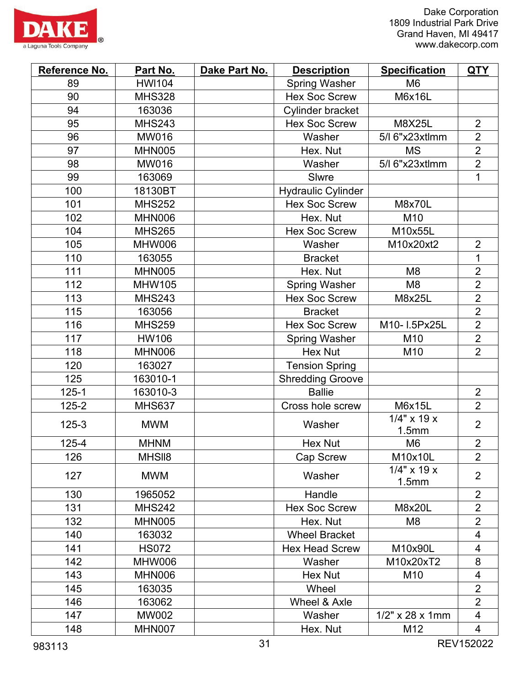



| Reference No. | Part No.      | Dake Part No. | <b>Description</b>        | <b>Specification</b>    | <u>QTY</u>     |
|---------------|---------------|---------------|---------------------------|-------------------------|----------------|
| 89            | <b>HWI104</b> |               | <b>Spring Washer</b>      | M <sub>6</sub>          |                |
| 90            | <b>MHS328</b> |               | <b>Hex Soc Screw</b>      | M6x16L                  |                |
| 94            | 163036        |               | Cylinder bracket          |                         |                |
| 95            | <b>MHS243</b> |               | <b>Hex Soc Screw</b>      | <b>M8X25L</b>           | $\overline{2}$ |
| 96            | <b>MW016</b>  |               | Washer                    | 5/l 6"x23xtlmm          | $\overline{2}$ |
| 97            | <b>MHN005</b> |               | Hex. Nut                  | <b>MS</b>               | $\overline{2}$ |
| 98            | <b>MW016</b>  |               | Washer                    | 5/l 6"x23xtlmm          | $\overline{2}$ |
| 99            | 163069        |               | Slwre                     |                         | $\mathbf{1}$   |
| 100           | 18130BT       |               | <b>Hydraulic Cylinder</b> |                         |                |
| 101           | <b>MHS252</b> |               | <b>Hex Soc Screw</b>      | <b>M8x70L</b>           |                |
| 102           | <b>MHN006</b> |               | Hex. Nut                  | M10                     |                |
| 104           | <b>MHS265</b> |               | <b>Hex Soc Screw</b>      | M10x55L                 |                |
| 105           | MHW006        |               | Washer                    | M10x20xt2               | $\overline{2}$ |
| 110           | 163055        |               | <b>Bracket</b>            |                         | $\mathbf{1}$   |
| 111           | <b>MHN005</b> |               | Hex. Nut                  | M <sub>8</sub>          | $\overline{2}$ |
| 112           | <b>MHW105</b> |               | <b>Spring Washer</b>      | M <sub>8</sub>          | $\overline{2}$ |
| 113           | <b>MHS243</b> |               | <b>Hex Soc Screw</b>      | M8x25L                  | $\overline{2}$ |
| 115           | 163056        |               | <b>Bracket</b>            |                         | $\overline{2}$ |
| 116           | <b>MHS259</b> |               | <b>Hex Soc Screw</b>      | M10-1.5Px25L            | $\overline{2}$ |
| 117           | <b>HW106</b>  |               | <b>Spring Washer</b>      | M10                     | $\overline{2}$ |
| 118           | <b>MHN006</b> |               | <b>Hex Nut</b>            | M10                     | $\overline{2}$ |
| 120           | 163027        |               | <b>Tension Spring</b>     |                         |                |
| 125           | 163010-1      |               | <b>Shredding Groove</b>   |                         |                |
| $125 - 1$     | 163010-3      |               | <b>Ballie</b>             |                         | $\overline{2}$ |
| $125 - 2$     | <b>MHS637</b> |               | Cross hole screw          | M6x15L                  | $\overline{2}$ |
| $125 - 3$     | <b>MWM</b>    |               | Washer                    | $1/4$ " x 19 x<br>1.5mm | $\overline{2}$ |
| 125-4         | <b>MHNM</b>   |               | <b>Hex Nut</b>            | M6                      | $\overline{2}$ |
| 126           | MHSII8        |               | Cap Screw                 | M10x10L                 | $\overline{2}$ |
| 127           | <b>MWM</b>    |               | Washer                    | $1/4$ " x 19 x<br>1.5mm | $\overline{2}$ |
| 130           | 1965052       |               | Handle                    |                         | $\overline{2}$ |
| 131           | <b>MHS242</b> |               | <b>Hex Soc Screw</b>      | M8x20L                  | $\overline{2}$ |
| 132           | <b>MHN005</b> |               | Hex. Nut                  | M <sub>8</sub>          | $\overline{2}$ |
| 140           | 163032        |               | <b>Wheel Bracket</b>      |                         | 4              |
| 141           | <b>HS072</b>  |               | <b>Hex Head Screw</b>     | M10x90L                 | 4              |
| 142           | MHW006        |               | Washer                    | M10x20xT2               | 8              |
| 143           | MHN006        |               | <b>Hex Nut</b>            | M10                     | 4              |
| 145           | 163035        |               | Wheel                     |                         | $\overline{2}$ |
| 146           | 163062        |               | Wheel & Axle              |                         | $\overline{2}$ |
| 147           | <b>MW002</b>  |               | Washer                    | $1/2$ " x 28 x 1mm      | 4              |
| 148           | MHN007        |               | Hex. Nut                  | M12                     | 4              |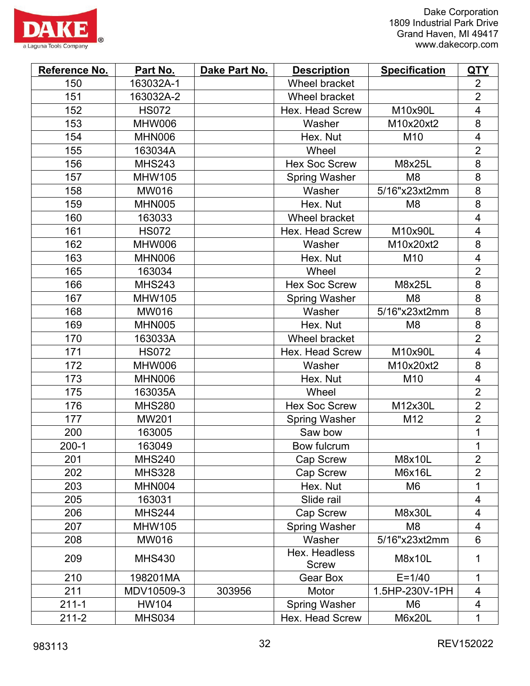



| Reference No. | Part No.      | Dake Part No. | <b>Description</b>            | <b>Specification</b> | <u>QTY</u>               |
|---------------|---------------|---------------|-------------------------------|----------------------|--------------------------|
| 150           | 163032A-1     |               | <b>Wheel bracket</b>          |                      | $\overline{2}$           |
| 151           | 163032A-2     |               | Wheel bracket                 |                      | $\overline{2}$           |
| 152           | <b>HS072</b>  |               | <b>Hex. Head Screw</b>        | M10x90L              | $\overline{\mathcal{A}}$ |
| 153           | MHW006        |               | Washer                        | M10x20xt2            | 8                        |
| 154           | <b>MHN006</b> |               | Hex. Nut                      | M10                  | $\overline{\mathbf{4}}$  |
| 155           | 163034A       |               | Wheel                         |                      | $\overline{2}$           |
| 156           | <b>MHS243</b> |               | <b>Hex Soc Screw</b>          | M8x25L               | 8                        |
| 157           | <b>MHW105</b> |               | <b>Spring Washer</b>          | M <sub>8</sub>       | 8                        |
| 158           | MW016         |               | Washer                        | 5/16"x23xt2mm        | 8                        |
| 159           | <b>MHN005</b> |               | Hex. Nut                      | M <sub>8</sub>       | 8                        |
| 160           | 163033        |               | Wheel bracket                 |                      | $\overline{\mathbf{4}}$  |
| 161           | <b>HS072</b>  |               | <b>Hex. Head Screw</b>        | M10x90L              | $\overline{\mathcal{A}}$ |
| 162           | <b>MHW006</b> |               | Washer                        | M10x20xt2            | 8                        |
| 163           | <b>MHN006</b> |               | Hex. Nut                      | M10                  | $\overline{\mathcal{A}}$ |
| 165           | 163034        |               | Wheel                         |                      | $\overline{2}$           |
| 166           | <b>MHS243</b> |               | <b>Hex Soc Screw</b>          | M8x25L               | 8                        |
| 167           | <b>MHW105</b> |               | <b>Spring Washer</b>          | M <sub>8</sub>       | 8                        |
| 168           | <b>MW016</b>  |               | Washer                        | 5/16"x23xt2mm        | 8                        |
| 169           | <b>MHN005</b> |               | Hex. Nut                      | M <sub>8</sub>       | 8                        |
| 170           | 163033A       |               | Wheel bracket                 |                      | $\overline{2}$           |
| 171           | <b>HS072</b>  |               | <b>Hex. Head Screw</b>        | M10x90L              | $\overline{\mathcal{A}}$ |
| 172           | <b>MHW006</b> |               | Washer                        | M10x20xt2            | 8                        |
| 173           | <b>MHN006</b> |               | Hex. Nut                      | M10                  | $\overline{4}$           |
| 175           | 163035A       |               | Wheel                         |                      | $\overline{2}$           |
| 176           | <b>MHS280</b> |               | <b>Hex Soc Screw</b>          | M12x30L              | $\overline{2}$           |
| 177           | MW201         |               | <b>Spring Washer</b>          | M12                  | $\overline{2}$           |
| 200           | 163005        |               | Saw bow                       |                      | 1                        |
| $200 - 1$     | 163049        |               | Bow fulcrum                   |                      | $\mathbf 1$              |
| 201           | <b>MHS240</b> |               | <b>Cap Screw</b>              | M8x10L               | $\overline{2}$           |
| 202           | <b>MHS328</b> |               | Cap Screw                     | M6x16L               | $\overline{2}$           |
| 203           | MHN004        |               | Hex. Nut                      | M <sub>6</sub>       | 1                        |
| 205           | 163031        |               | Slide rail                    |                      | $\overline{\mathcal{A}}$ |
| 206           | <b>MHS244</b> |               | <b>Cap Screw</b>              | M8x30L               | 4                        |
| 207           | <b>MHW105</b> |               | <b>Spring Washer</b>          | M <sub>8</sub>       | $\overline{\mathcal{A}}$ |
| 208           | <b>MW016</b>  |               | Washer                        | 5/16"x23xt2mm        | 6                        |
| 209           | <b>MHS430</b> |               | Hex. Headless<br><b>Screw</b> | M8x10L               | 1                        |
| 210           | 198201MA      |               | Gear Box                      | $E = 1/40$           | 1                        |
| 211           | MDV10509-3    | 303956        | Motor                         | 1.5HP-230V-1PH       | 4                        |
| $211 - 1$     | HW104         |               | Spring Washer                 | M6                   | 4                        |
| $211 - 2$     | <b>MHS034</b> |               | Hex. Head Screw               | <b>M6x20L</b>        | 1                        |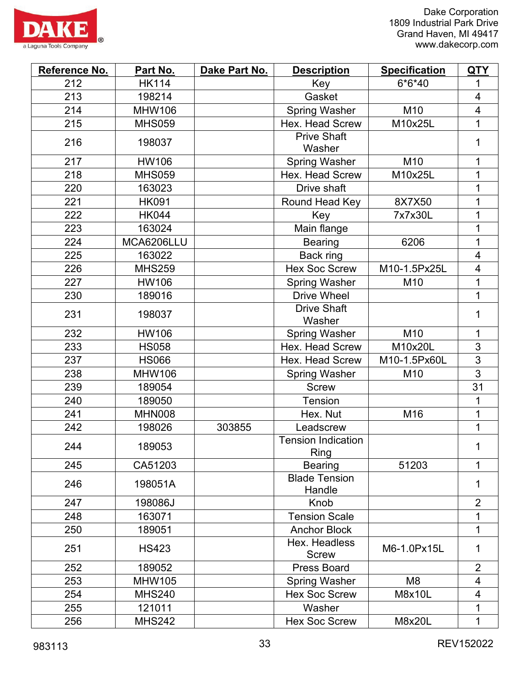

| Reference No. | Part No.      | Dake Part No. | <b>Description</b>                       | <b>Specification</b> | <b>QTY</b>              |
|---------------|---------------|---------------|------------------------------------------|----------------------|-------------------------|
| 212           | <b>HK114</b>  |               | Key                                      | $6*6*40$             | 1                       |
| 213           | 198214        |               | Gasket                                   |                      | $\overline{\mathbf{4}}$ |
| 214           | <b>MHW106</b> |               | <b>Spring Washer</b>                     | M10                  | 4                       |
| 215           | <b>MHS059</b> |               | Hex. Head Screw                          | M10x25L              | 1                       |
| 216           | 198037        |               | <b>Prive Shaft</b><br>Washer             |                      | 1                       |
| 217           | <b>HW106</b>  |               | <b>Spring Washer</b>                     | M <sub>10</sub>      | 1                       |
| 218           | <b>MHS059</b> |               | Hex. Head Screw                          | M10x25L              | 1                       |
| 220           | 163023        |               | Drive shaft                              |                      | 1                       |
| 221           | <b>HK091</b>  |               | Round Head Key                           | 8X7X50               | 1                       |
| 222           | <b>HK044</b>  |               | Key                                      | 7x7x30L              | 1                       |
| 223           | 163024        |               | Main flange                              |                      | 1                       |
| 224           | MCA6206LLU    |               | <b>Bearing</b>                           | 6206                 | 1                       |
| 225           | 163022        |               | Back ring                                |                      | $\overline{\mathbf{4}}$ |
| 226           | <b>MHS259</b> |               | <b>Hex Soc Screw</b>                     | M10-1.5Px25L         | $\overline{\mathbf{4}}$ |
| 227           | <b>HW106</b>  |               | <b>Spring Washer</b>                     | M10                  | 1                       |
| 230           | 189016        |               | <b>Drive Wheel</b>                       |                      | 1                       |
| 231           | 198037        |               | <b>Drive Shaft</b><br>Washer             |                      | 1                       |
| 232           | <b>HW106</b>  |               | <b>Spring Washer</b>                     | M10                  | 1                       |
| 233           | <b>HS058</b>  |               | Hex. Head Screw                          | M10x20L              | 3                       |
| 237           | <b>HS066</b>  |               | <b>Hex. Head Screw</b>                   | M10-1.5Px60L         | 3                       |
| 238           | <b>MHW106</b> |               | <b>Spring Washer</b>                     | M10                  | $\overline{3}$          |
| 239           | 189054        |               | <b>Screw</b>                             |                      | 31                      |
| 240           | 189050        |               | Tension                                  |                      | 1                       |
| 241           | <b>MHN008</b> |               | Hex. Nut                                 | M16                  | 1                       |
| 242           | 198026        | 303855        | Leadscrew                                |                      | 1                       |
| 244           | 189053        |               | <b>Tension Indication</b><br><b>Ring</b> |                      | 1                       |
| 245           | CA51203       |               | <b>Bearing</b>                           | 51203                | 1                       |
| 246           | 198051A       |               | <b>Blade Tension</b><br>Handle           |                      | 1                       |
| 247           | 198086J       |               | Knob                                     |                      | $\overline{2}$          |
| 248           | 163071        |               | <b>Tension Scale</b>                     |                      | 1                       |
| 250           | 189051        |               | <b>Anchor Block</b>                      |                      | 1                       |
| 251           | <b>HS423</b>  |               | Hex. Headless<br><b>Screw</b>            | M6-1.0Px15L          | 1                       |
| 252           | 189052        |               | <b>Press Board</b>                       |                      | $\overline{2}$          |
| 253           | <b>MHW105</b> |               | <b>Spring Washer</b>                     | M <sub>8</sub>       | 4                       |
| 254           | <b>MHS240</b> |               | <b>Hex Soc Screw</b>                     | M8x10L               | 4                       |
| 255           | 121011        |               | Washer                                   |                      | 1                       |
| 256           | <b>MHS242</b> |               | <b>Hex Soc Screw</b>                     | <b>M8x20L</b>        | 1                       |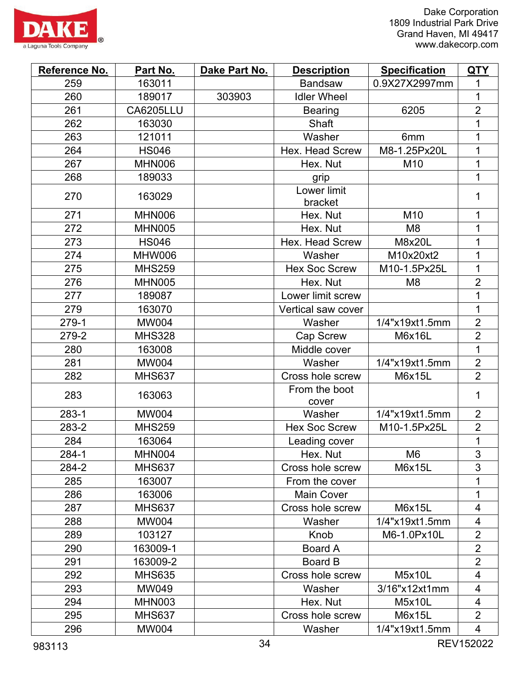



| Reference No. | Part No.         | Dake Part No. | <b>Description</b>     | <b>Specification</b> | <b>QTY</b>               |
|---------------|------------------|---------------|------------------------|----------------------|--------------------------|
| 259           | 163011           |               | <b>Bandsaw</b>         | 0.9X27X2997mm        | 1                        |
| 260           | 189017           | 303903        | <b>Idler Wheel</b>     |                      | 1                        |
| 261           | <b>CA6205LLU</b> |               | <b>Bearing</b>         | 6205                 | $\overline{2}$           |
| 262           | 163030           |               | Shaft                  |                      | 1                        |
| 263           | 121011           |               | Washer                 | 6 <sub>mm</sub>      | 1                        |
| 264           | <b>HS046</b>     |               | Hex. Head Screw        | M8-1.25Px20L         | $\mathbf 1$              |
| 267           | <b>MHN006</b>    |               | Hex. Nut               | M10                  | 1                        |
| 268           | 189033           |               | grip                   |                      | 1                        |
| 270           | 163029           |               | Lower limit<br>bracket |                      | $\mathbf{1}$             |
| 271           | <b>MHN006</b>    |               | Hex. Nut               | M10                  | 1                        |
| 272           | <b>MHN005</b>    |               | Hex. Nut               | M <sub>8</sub>       | $\mathbf 1$              |
| 273           | <b>HS046</b>     |               | <b>Hex. Head Screw</b> | M8x20L               | 1                        |
| 274           | <b>MHW006</b>    |               | Washer                 | M10x20xt2            | 1                        |
| 275           | <b>MHS259</b>    |               | <b>Hex Soc Screw</b>   | M10-1.5Px25L         | 1                        |
| 276           | <b>MHN005</b>    |               | Hex. Nut               | M <sub>8</sub>       | $\overline{2}$           |
| 277           | 189087           |               | Lower limit screw      |                      | 1                        |
| 279           | 163070           |               | Vertical saw cover     |                      | 1                        |
| 279-1         | <b>MW004</b>     |               | Washer                 | 1/4"x19xt1.5mm       | $\overline{2}$           |
| 279-2         | <b>MHS328</b>    |               | Cap Screw              | M6x16L               | $\overline{2}$           |
| 280           | 163008           |               | Middle cover           |                      | $\overline{1}$           |
| 281           | <b>MW004</b>     |               | Washer                 | 1/4"x19xt1.5mm       | $\overline{2}$           |
| 282           | <b>MHS637</b>    |               | Cross hole screw       | M6x15L               | $\overline{2}$           |
| 283           | 163063           |               | From the boot<br>cover |                      | $\mathbf 1$              |
| 283-1         | <b>MW004</b>     |               | Washer                 | 1/4"x19xt1.5mm       | $\overline{2}$           |
| 283-2         | <b>MHS259</b>    |               | <b>Hex Soc Screw</b>   | M10-1.5Px25L         | $\overline{2}$           |
| 284           | 163064           |               | Leading cover          |                      | 1                        |
| 284-1         | <b>MHN004</b>    |               | Hex. Nut               | M <sub>6</sub>       | 3                        |
| 284-2         | <b>MHS637</b>    |               | Cross hole screw       | M6x15L               | 3                        |
| 285           | 163007           |               | From the cover         |                      | 1                        |
| 286           | 163006           |               | <b>Main Cover</b>      |                      | 1                        |
| 287           | <b>MHS637</b>    |               | Cross hole screw       | M6x15L               | 4                        |
| 288           | <b>MW004</b>     |               | Washer                 | 1/4"x19xt1.5mm       | $\overline{4}$           |
| 289           | 103127           |               | Knob                   | M6-1.0Px10L          | $\overline{2}$           |
| 290           | 163009-1         |               | Board A                |                      | $\overline{2}$           |
| 291           | 163009-2         |               | Board B                |                      | $\overline{2}$           |
| 292           | <b>MHS635</b>    |               | Cross hole screw       | <b>M5x10L</b>        | 4                        |
| 293           | MW049            |               | Washer                 | 3/16"x12xt1mm        | 4                        |
| 294           | <b>MHN003</b>    |               | Hex. Nut               | M5x10L               | $\overline{\mathcal{A}}$ |
| 295           | <b>MHS637</b>    |               | Cross hole screw       | M6x15L               | $\overline{2}$           |
| 296           | <b>MW004</b>     |               | Washer                 | 1/4"x19xt1.5mm       | 4                        |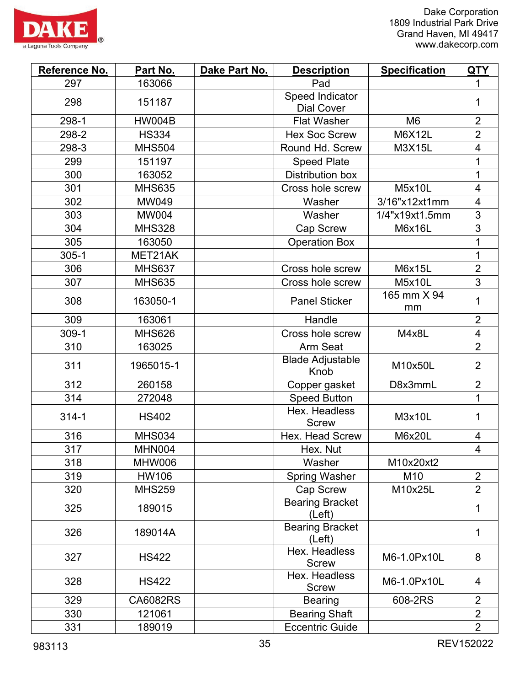

| Reference No. | Part No.        | Dake Part No. | <b>Description</b>                   | <b>Specification</b> | <b>QTY</b>               |
|---------------|-----------------|---------------|--------------------------------------|----------------------|--------------------------|
| 297           | 163066          |               | Pad                                  |                      | 1                        |
| 298           | 151187          |               | Speed Indicator<br><b>Dial Cover</b> |                      | 1                        |
| 298-1         | <b>HW004B</b>   |               | <b>Flat Washer</b>                   | M <sub>6</sub>       | $\overline{2}$           |
| 298-2         | <b>HS334</b>    |               | <b>Hex Soc Screw</b>                 | M6X12L               | $\overline{2}$           |
| 298-3         | <b>MHS504</b>   |               | Round Hd. Screw                      | M3X15L               | $\overline{4}$           |
| 299           | 151197          |               | <b>Speed Plate</b>                   |                      | 1                        |
| 300           | 163052          |               | <b>Distribution box</b>              |                      | 1                        |
| 301           | <b>MHS635</b>   |               | Cross hole screw                     | <b>M5x10L</b>        | $\overline{4}$           |
| 302           | MW049           |               | Washer                               | 3/16"x12xt1mm        | 4                        |
| 303           | <b>MW004</b>    |               | Washer                               | 1/4"x19xt1.5mm       | 3                        |
| 304           | <b>MHS328</b>   |               | Cap Screw                            | M6x16L               | $\overline{3}$           |
| 305           | 163050          |               | <b>Operation Box</b>                 |                      | 1                        |
| $305 - 1$     | MET21AK         |               |                                      |                      | 1                        |
| 306           | <b>MHS637</b>   |               | Cross hole screw                     | M6x15L               | $\overline{2}$           |
| 307           | <b>MHS635</b>   |               | Cross hole screw                     | <b>M5x10L</b>        | 3                        |
| 308           | 163050-1        |               | <b>Panel Sticker</b>                 | 165 mm X 94<br>mm    | 1                        |
| 309           | 163061          |               | Handle                               |                      | $\overline{2}$           |
| 309-1         | <b>MHS626</b>   |               | Cross hole screw                     | M4x8L                | $\overline{\mathcal{A}}$ |
| 310           | 163025          |               | Arm Seat                             |                      | $\overline{2}$           |
| 311           | 1965015-1       |               | <b>Blade Adjustable</b><br>Knob      | M10x50L              | $\overline{2}$           |
| 312           | 260158          |               | Copper gasket                        | D8x3mmL              | $\overline{2}$           |
| 314           | 272048          |               | <b>Speed Button</b>                  |                      | 1                        |
| $314 - 1$     | <b>HS402</b>    |               | Hex. Headless<br><b>Screw</b>        | M3x10L               | 1                        |
| 316           | <b>MHS034</b>   |               | Hex. Head Screw                      | <b>M6x20L</b>        | 4                        |
| 317           | MHN004          |               | Hex. Nut                             |                      | 4                        |
| 318           | MHW006          |               | Washer                               | M10x20xt2            |                          |
| 319           | HW106           |               | <b>Spring Washer</b>                 | M10                  | $\overline{2}$           |
| 320           | <b>MHS259</b>   |               | Cap Screw                            | M10x25L              | $\overline{2}$           |
| 325           | 189015          |               | <b>Bearing Bracket</b><br>(Left)     |                      | 1                        |
| 326           | 189014A         |               | <b>Bearing Bracket</b><br>(Left)     |                      | 1                        |
| 327           | <b>HS422</b>    |               | Hex. Headless<br><b>Screw</b>        | M6-1.0Px10L          | 8                        |
| 328           | <b>HS422</b>    |               | Hex. Headless<br><b>Screw</b>        | M6-1.0Px10L          | $\overline{4}$           |
| 329           | <b>CA6082RS</b> |               | <b>Bearing</b>                       | 608-2RS              | $\overline{2}$           |
| 330           | 121061          |               | <b>Bearing Shaft</b>                 |                      | $\overline{2}$           |
| 331           | 189019          |               | <b>Eccentric Guide</b>               |                      | $\overline{2}$           |